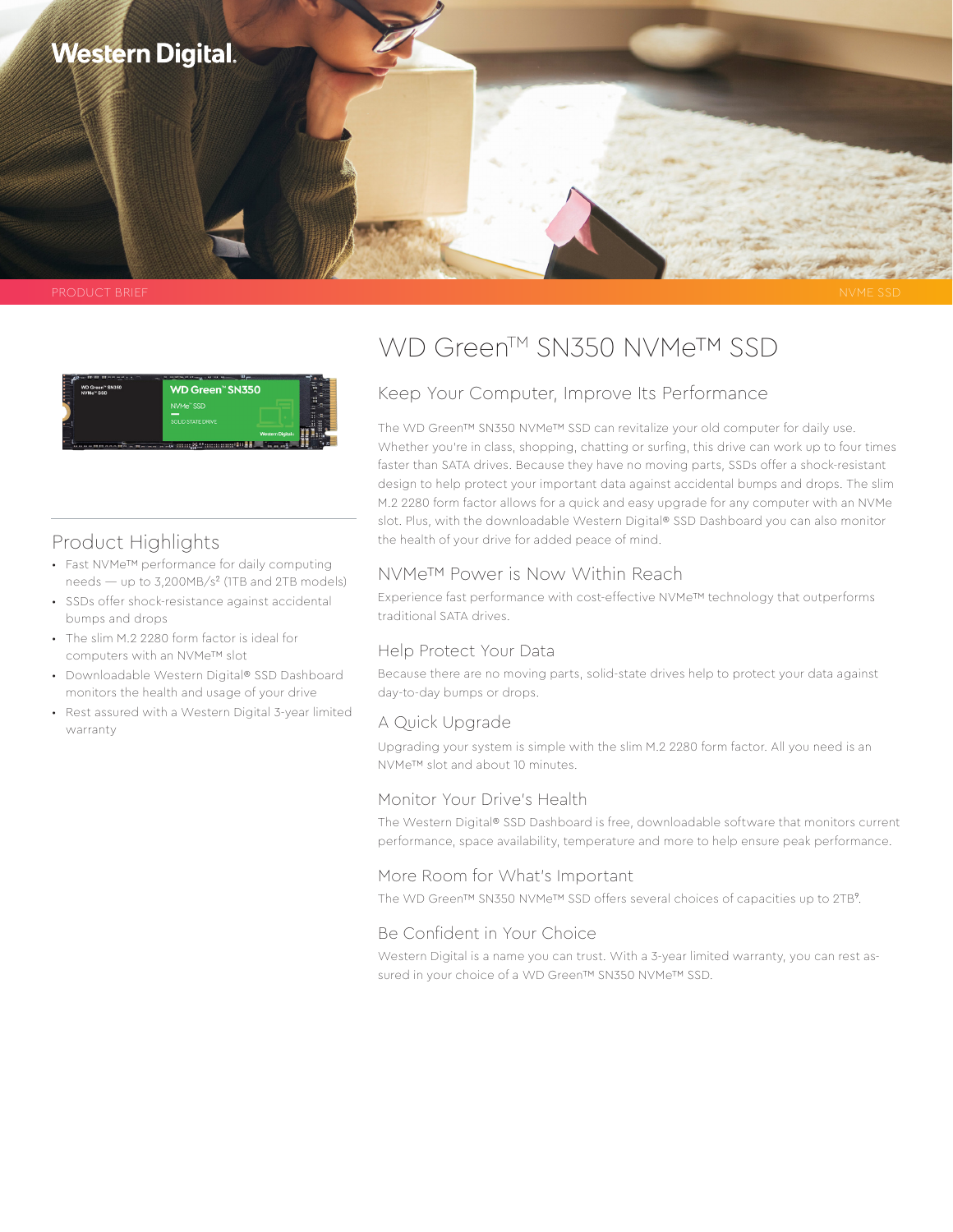



# Product Highlights

- Fast NVMe™ performance for daily computing needs — up to 3,200MB/s² (1TB and 2TB models)
- SSDs offer shock-resistance against accidental bumps and drops
- The slim M.2 2280 form factor is ideal for computers with an NVMe™ slot
- Downloadable Western Digital® SSD Dashboard monitors the health and usage of your drive
- Rest assured with a Western Digital 3-year limited warranty

# WD Green™ SN350 NVMe™ SSD

### Keep Your Computer, Improve Its Performance

The WD Green™ SN350 NVMe™ SSD can revitalize your old computer for daily use. Whether you're in class, shopping, chatting or surfing, this drive can work up to four times faster than SATA drives. Because they have no moving parts, SSDs offer a shock-resistant design to help protect your important data against accidental bumps and drops. The slim M.2 2280 form factor allows for a quick and easy upgrade for any computer with an NVMe slot. Plus, with the downloadable Western Digital® SSD Dashboard you can also monitor the health of your drive for added peace of mind.

### NVMe™ Power is Now Within Reach

Experience fast performance with cost-effective NVMe™ technology that outperforms traditional SATA drives.

#### Help Protect Your Data

Because there are no moving parts, solid-state drives help to protect your data against day-to-day bumps or drops.

#### A Quick Upgrade

Upgrading your system is simple with the slim M.2 2280 form factor. All you need is an NVMe™ slot and about 10 minutes.

#### Monitor Your Drive's Health

The Western Digital® SSD Dashboard is free, downloadable software that monitors current performance, space availability, temperature and more to help ensure peak performance.

#### More Room for What's Important

The WD Green™ SN350 NVMe™ SSD offers several choices of capacities up to 2TB<sup>9</sup>.

## Be Confident in Your Choice

Western Digital is a name you can trust. With a 3-year limited warranty, you can rest assured in your choice of a WD Green™ SN350 NVMe™ SSD.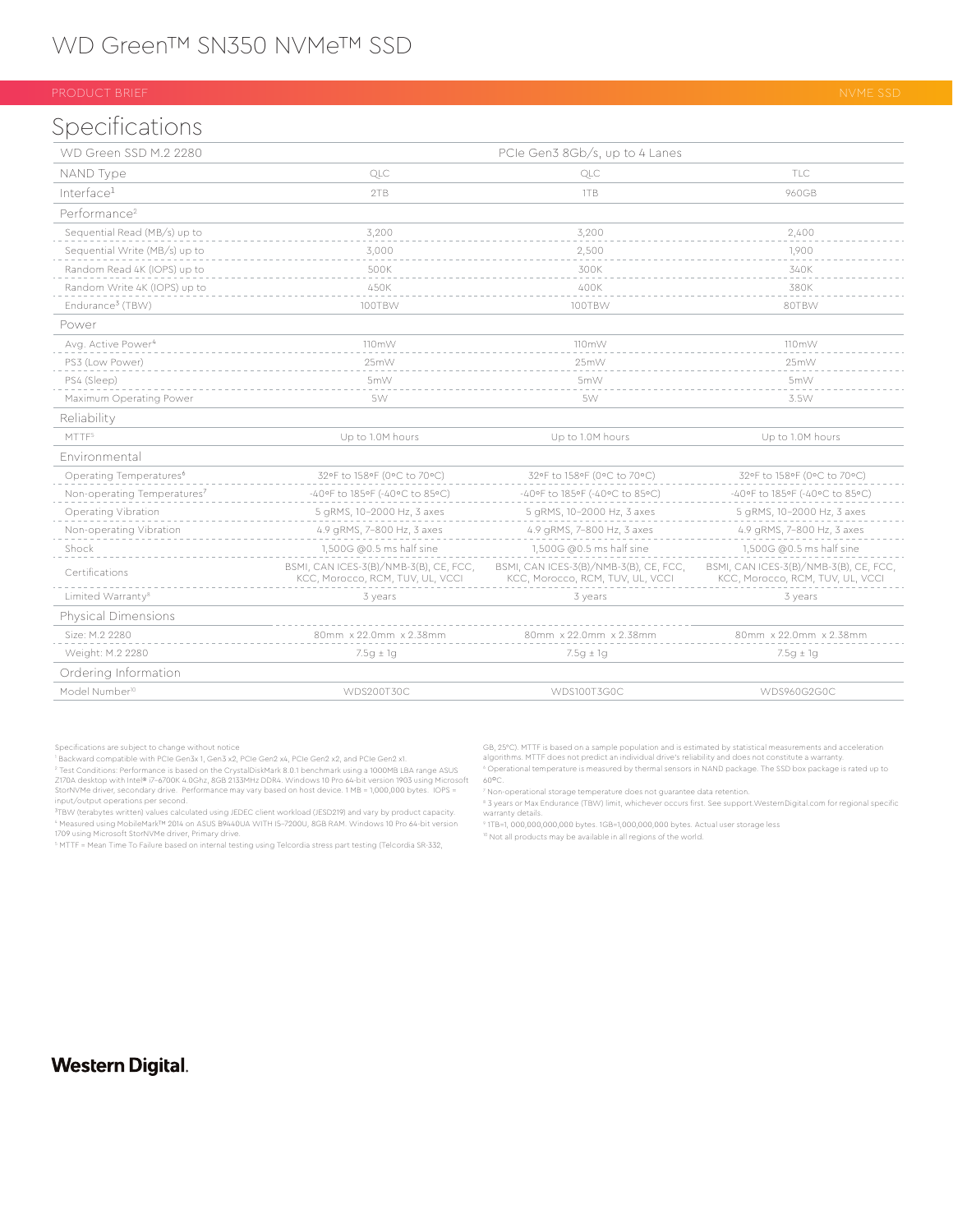# Specifications

| WD Green SSD M.2 2280                   | PCIe Gen3 8Gb/s, up to 4 Lanes                                             |                                                                            |                                                                            |
|-----------------------------------------|----------------------------------------------------------------------------|----------------------------------------------------------------------------|----------------------------------------------------------------------------|
| NAND Type                               | QLC                                                                        | QLC                                                                        | TI C                                                                       |
| Interface <sup>1</sup>                  | 2TB                                                                        | 1TB                                                                        | 960GB                                                                      |
| Performance <sup>2</sup>                |                                                                            |                                                                            |                                                                            |
| Sequential Read (MB/s) up to            | 3,200                                                                      | 3,200                                                                      | 2,400                                                                      |
| Sequential Write (MB/s) up to           | 3,000                                                                      | 2,500                                                                      | 1,900                                                                      |
| Random Read 4K (IOPS) up to             | 500K                                                                       | 300K                                                                       | 340K                                                                       |
| Random Write 4K (IOPS) up to            | 450K                                                                       | 400K                                                                       | 380K                                                                       |
| Endurance <sup>3</sup> (TBW)            | 100TBW                                                                     | 100TBW                                                                     | 80TBW                                                                      |
| Power                                   |                                                                            |                                                                            |                                                                            |
| Avg. Active Power <sup>4</sup>          | 110mW                                                                      | 110mW                                                                      | 110mW                                                                      |
| PS3 (Low Power)                         | 25mW                                                                       | 25mW                                                                       | 25mW                                                                       |
| PS4 (Sleep)                             | 5mW                                                                        | 5mW                                                                        | 5mW                                                                        |
| Maximum Operating Power                 | 5W                                                                         | 5W                                                                         | 3.5W                                                                       |
| Reliability                             |                                                                            |                                                                            |                                                                            |
| MTTF5                                   | Up to 1.0M hours                                                           | Up to 1.0M hours                                                           | Up to 1.0M hours                                                           |
| Fnvironmental                           |                                                                            |                                                                            |                                                                            |
| Operating Temperatures <sup>6</sup>     | 32°F to 158°F (0°C to 70°C)                                                | 32°F to 158°F (0°C to 70°C)                                                | 32°F to 158°F (0°C to 70°C)                                                |
| Non-operating Temperatures <sup>7</sup> | -40°F to 185°F (-40°C to 85°C)                                             | -40°F to 185°F (-40°C to 85°C)                                             | -40°F to 185°F (-40°C to 85°C)                                             |
| Operating Vibration                     | 5 gRMS, 10-2000 Hz, 3 axes                                                 | 5 gRMS, 10-2000 Hz, 3 axes                                                 | 5 gRMS, 10-2000 Hz, 3 axes                                                 |
| Non-operating Vibration                 | 4.9 gRMS, 7-800 Hz, 3 axes                                                 | 4.9 gRMS, 7-800 Hz, 3 axes                                                 | 4.9 gRMS, 7-800 Hz, 3 axes                                                 |
| Shock                                   | 1,500G @0.5 ms half sine                                                   | 1,500G @0.5 ms half sine                                                   | 1,500G @0.5 ms half sine                                                   |
| Certifications                          | BSMI, CAN ICES-3(B)/NMB-3(B), CE, FCC,<br>KCC, Morocco, RCM, TUV, UL, VCCI | BSMI, CAN ICES-3(B)/NMB-3(B), CE, FCC,<br>KCC, Morocco, RCM, TUV, UL, VCCI | BSMI, CAN ICES-3(B)/NMB-3(B), CE, FCC,<br>KCC, Morocco, RCM, TUV, UL, VCCI |
| Limited Warranty <sup>8</sup>           | 3 years                                                                    | 3 years                                                                    | 3 years                                                                    |
| Physical Dimensions                     |                                                                            |                                                                            |                                                                            |
| Size: M.2 2280                          | 80mm x 22.0mm x 2.38mm                                                     | 80mm x 22.0mm x 2.38mm                                                     | 80mm x 22.0mm x 2.38mm                                                     |
| Weight: M.2 2280                        | $7.5g \pm 1g$                                                              | $7.5g \pm 1g$                                                              | $7.5g \pm 1g$                                                              |
| Ordering Information                    |                                                                            |                                                                            |                                                                            |
| Model Number <sup>10</sup>              | WDS200T30C                                                                 | WDS100T3G0C                                                                | WDS960G2G0C                                                                |

Specifications are subject to change without notice

1 Backward compatible with PCIe Gen3x 1, Gen3 x2, PCIe Gen2 x4, PCIe Gen2 x2, and PCIe Gen2 x1. ° Test Conditions: Performance is based on the CrystalDiskMark 8.0.1 benchmark using a 1000MB LBA range ASUS<br>Z170A desktop with Intel® i7-6700K 4.0Ghz, 8GB 2133MHz DDR4. Windows 10 Pro 64-bit version 1903 using Microsoft StorNVMe driver, secondary drive. Performance may vary based on host device. 1 MB = 1,000,000 bytes. IOPS = input/output operations per second.

<sup>3</sup>TBW (terabytes written) values calculated using JEDEC client workload (JESD219) and vary by product capacity.<br>\* Measured using MobileMark™ 2014 on ASUS B9440UA WITH I5-7200U, 8GB RAM. Windows 10 Pro 64-bit version 1709 using Microsoft StorNVMe driver, Primary drive.

5 MTTF = Mean Time To Failure based on internal testing using Telcordia stress part testing (Telcordia SR-332,

GB, 25°C). MTTF is based on a sample population and is estimated by statistical measurements and acceleration algorithms. MTTF does not predict an individual drive's reliability and does not constitute a warranty. 6 Operational temperature is measured by thermal sensors in NAND package. The SSD box package is rated up to

8 3 years or Max Endurance (TBW) limit, whichever occurs first. See support.WesternDigital.com for regional specific warranty details.

9 1TB=1, 000,000,000,000 bytes. 1GB=1,000,000,000 bytes. Actual user storage less

10 Not all products may be available in all regions of the world.

## **Western Digital.**

 $60^{\circ}$ C. 7 Non-operational storage temperature does not guarantee data retention.